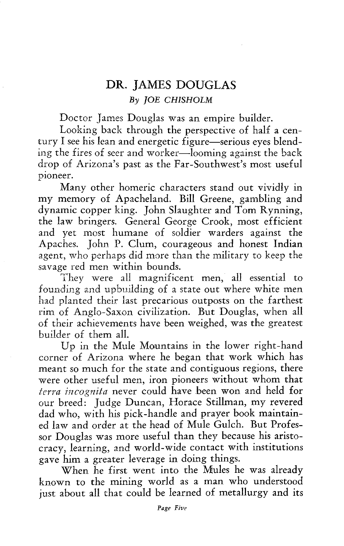## **DR.** JAMES DOUGLAS *By JOE CHISHOLM*

Doctor James Douglas was an empire builder.

Looking back through the perspective of half a century I see his lean and energetic figure—serious eyes blending the fires of seer and worker—looming against the back drop of Arizona's past as the Far-Southwest's most useful pioneer.

Many other homeric characters stand out vividly in my memory of Apacheland. Bill Greene, gambling and dynamic copper king. John Slaughter and Tom Rynning, the law bringers. General George Crook, most efficient and yet most humane of soldier warders against the Apaches. John P. Clum, courageous and honest Indian agent, who perhaps did more than the military to keep the savage red men within bounds.

They were all magnificent men, all essential to founding and upbuilding of a state out where white men had planted their last precarious outposts on the farthest rim of Anglo-Saxon civilization. But Douglas, when all of their achievements have been weighed, was the greatest builder of them all.

Up in the Mule Mountains in the lower right-hand corner of Arizona where he began that work which has meant so much for the state and contiguous regions, there were other useful men, iron pioneers without whom that *terra incognita* never could have been won and held for our breed: Judge Duncan, Horace Stillman, my revered dad who, with his pick-handle and prayer book maintained law and order at the head of Mule Gulch. But Professor Douglas was more useful than they because his aristocracy, learning, and world-wide contact with institutions gave him a greater leverage in doing things.

When he first went into the Mules he was already known to the mining world as a man who understood just about all that could be learned of metallurgy and its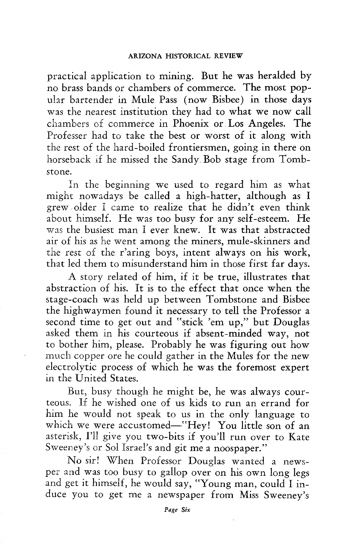practical application to mining. But he was heralded by no brass bands or chambers of commerce. The most popular bartender in Mule Pass (now Bisbee) in those days was the nearest institution they had to what we now call chambers of commerce in Phoenix or Los Angeles. The Professer had to take the best or worst of it along with the rest of the hard-boiled frontiersmen, going in there on horseback if he missed the Sandy. Bob stage from Tombstone.

In the beginning we used to regard him as what might nowadays be called a high-hatter, although as I grew. older I came to realize that he didn't even think about himself. He was too busy for any self-esteem. He was the busiest man I ever knew. It was that abstracted air of his as he went among the miners, mule-skinners and the rest of the r'aring boys, intent always on his work, that led them to misunderstand him in those first far days.

A story related of him, if it be true, illustrates that abstraction of his. It is to the effect that once when the stage-coach was held up between Tombstone and Bisbee the highwaymen found it necessary to tell the Professor a second time to get out and "stick 'em up," but Douglas asked them in his courteous if absent-minded way, not to bother him, please. Probably he was figuring out how much copper ore he could gather in the Mules for the new electrolytic process of which he was the foremost expert in the United States.

But, busy though he might be, he was always courteous. If he wished one of us kids to run an errand for him he would not speak to us in the only language to which we were accustomed—"Hey! You little son of an asterisk, I'll give you two-bits if you'll run over to Kate Sweeney's or Sol Israel's and git me a noospaper."

No sir! When Professor Douglas wanted a newsper and was too busy to gallop over on his own long legs and get it himself, he would say, "Young man, could I induce you to get me a newspaper from Miss Sweeney's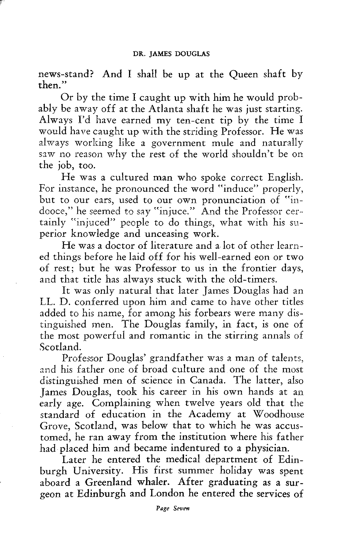news-stand? And I shall be up at the Queen shaft by then."

Or by the time I caught up with him he would probably be away off at the Atlanta shaft he was just starting. Always I'd have earned my ten-cent tip by the time I would have caught up with the striding Professor. He was always working like a government mule and naturally saw no reason why the rest of the world shouldn't be on the job, too.

He was a cultured man who spoke correct English. For instance, he pronounced the word "induce" properly, but to our ears, used to our own pronunciation of "indooce," he seemed to say "injuce." And the Professor certainly "injuced" people to do things, what with his superior knowledge and unceasing work.

He was a doctor of literature and a lot of other learned things before he laid off for his well-earned eon or two of rest; but he was Professor to us in the frontier days, and that title has always stuck with the old-timers.

It was only natural that later James Douglas had an LL. D. conferred upon him and came to have other titles added to his name, for among his forbears were many distinguished men. The Douglas family, in fact, is one of the most powerful and romantic in the stirring annals of Scotland.

Professor Douglas' grandfather was a man of talents, and his father one of broad culture and one of the most distinguished men of science in Canada. The latter, also James Douglas, took his career in his own hands at an early age. Complaining when twelve years old that the standard of education in the Academy at Woodhouse Grove, Scotland, was below that to which he was accustomed, he ran away from the institution where his father had placed him and became indentured to a physician.

Later he entered the medical department of Edinburgh University. His first summer holiday was spent aboard a Greenland whaler. After graduating as a surgeon at Edinburgh and London he entered the services of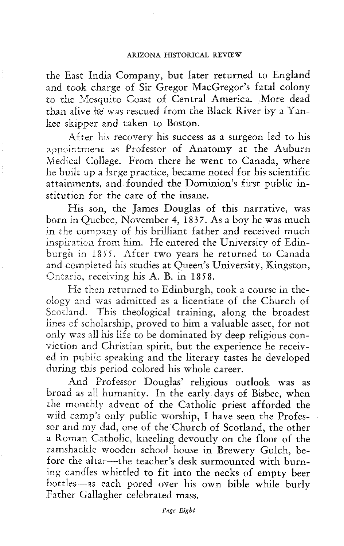the East India Company, but later returned to England and took charge of Sir Gregor MacGregor's fatal colony to the Mosquito Coast of Central America. More dead than alive he was rescued from the Black River by a Yankee skipper and taken to Boston.

After his recovery his success as a surgeon led to his appointment as Professor of Anatomy at the Auburn Medical College. From there he went to Canada, where he built up a large practice, became noted for his scientific attainments, and founded the Dominion's first public institution for the care of the insane.

His son, the James Douglas of this narrative, was born in Quebec, November 4, 1837. As a boy he was much in the company of his brilliant father and received much inspiration from him. He entered the University of Edinburgh in 1855. After two years he returned to Canada and completed his studies at Queen's University, Kingston, Ontario, receiving his A. B. in 1858.

He then returned to Edinburgh, took a course in theology and was admitted as a licentiate of the Church of Scotland. This theological training, along the broadest lines cf scholarship, proved to him a valuable asset, for not only was all his life to be dominated by deep religious conviction and Christian spirit, but the experience he received in public speaking and the literary tastes he developed during this period colored his whole career.

And Professor Douglas' religious outlook was as broad as all humanity. In the early, days of Bisbee, when the monthly advent of the Catholic priest afforded the wild camp's only public worship, I have seen the Professor and my dad, one of the 'Church of Scotland, the other a Roman Catholic, kneeling devoutly on the floor of the ramshackle wooden school house in Brewery Gulch, before the altar—the teacher's desk surmounted with burning candles whittled to fit into the necks of empty beer bottles—as each pored over his own bible while burly Father Gallagher celebrated mass.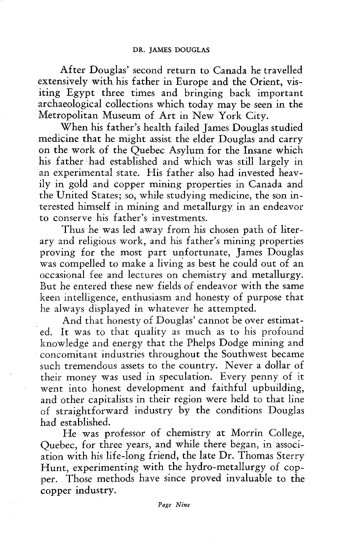After Douglas' second return to Canada he travelled extensively with his father in Europe and the Orient, visiting Egypt three times and bringing back important archaeological collections which today may be seen in the Metropolitan Museum of Art in New York City.

When his father's health failed James Douglas studied medicine that he might assist the elder Douglas and carry on the work of the Quebec Asylum for the Insane which his father had established and which was still largely in an experimental state. His father also had invested heavily in gold and copper mining properties in Canada and the United States; so, while studying medicine, the son interested himself in mining and metallurgy, in an endeavor to conserve his father's investments.

Thus he was led away from his chosen path of literary and religious work, and his father's mining properties proving for the most part unfortunate, James Douglas was compelled to make a living as best he could out of an occasional fee and lectures on chemistry and metallurgy. But he entered these new fields of endeavor with the same keen intelligence, enthusiasm and honesty of purpose that he always displayed in whatever he attempted.

And that honesty of Douglas' cannot be over estimated. It was to that quality as much as to his profound knowledge and energy that the Phelps Dodge mining and concomitant industries throughout the Southwest became such tremendous assets to the country. Never a dollar of their money was used in speculation. Every penny of it went into honest development and faithful upbuilding, and other capitalists in their region were held to that line of straightforward industry by the conditions Douglas had established.

He was professor of chemistry at Morrin College, Quebec, for three years, and while there began, in association with his life-long friend, the late Dr. Thomas Sterry Hunt, experimenting with the hydro-metallurgy of copper. Those methods have since proved invaluable to the copper industry.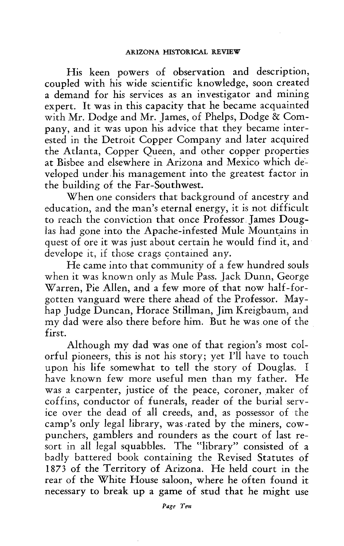His keen powers of observation and description, coupled with his wide scientific knowledge, soon created a demand for his services as an investigator and mining expert. It was in this capacity that he became acquainted with Mr. Dodge and Mr. James, of Phelps, Dodge *8c* Company, and it was upon his advice that they became interested in the Detroit Copper Company and later acquired the Atlanta, Copper Queen, and other copper properties at Bisbee and elsewhere in Arizona and Mexico which developed under his management into the greatest factor in the building of the Far-Southwest.

When one considers that background of ancestry and education, and the man's eternal energy, it is not difficult to reach the conviction that once Professor James Douglas had gone into the Apache-infested Mule Mountains in quest of ore it was just about certain he would find it, and develope it, if those crags contained any.

He came into that community of a few hundred souls when it was known only as Mule Pass. Jack Dunn, George Warren, Pie Allen, and a few more of that now half-forgotten vanguard were there ahead of the Professor. Mayhap Judge Duncan, Horace Stillman, Jim Kreigbaum, and my dad were also there before him. But he was one of the first.

Although my dad was one of that region's most colorful pioneers, this is not his story; yet I'll have to touch upon his life somewhat to tell the story of Douglas. I have known few more useful men than my father. He was a carpenter, justice of the peace, coroner, maker of coffins, conductor of funerals, reader of the burial service over the dead of all creeds, and, as possessor of the camp's only legal library, was rated by the miners, cowpunchers, gamblers and rounders as the court of last resort in all legal squabbles. The "library" consisted of a badly battered book containing the Revised Statutes of 1873 of the Territory of Arizona. He held court in the rear of the White House saloon, where he often found it necessary to break up a game of stud that he might use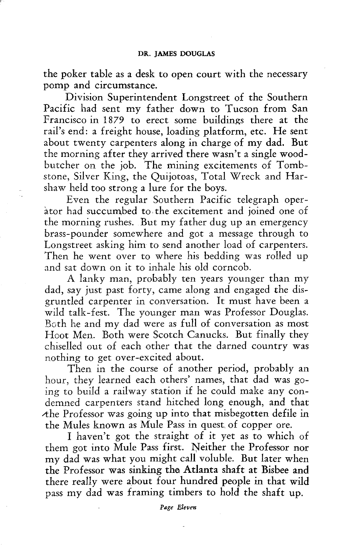the poker table as a desk to open court with the necessary pomp and circumstance.

Division Superintendent Longstreet of the Southern Pacific had sent my father down to Tucson from San Francisco in 1879 to erect some buildings there at the rail's end: a freight house, loading platform, etc. He sent about twenty carpenters along in charge of my dad. But the morning after they arrived there wasn't a single woodbutcher on the job. The mining excitements of Tombstone, Silver King, the Quijotoas, Total Wreck and Harshaw held too strong a lure for the boys.

Even the regular Southern Pacific telegraph operàtor had succumbed to the excitement and joined one of the morning rushes. But my father dug up an emergency brass-pounder somewhere and got a message through to Longstreet asking him to send another load of carpenters. Then he went over to where his bedding was rolled up and sat down on it to inhale his old corncob.

A lanky man, probably ten years younger than my dad, say just past forty, came along and engaged the disgruntled carpenter in conversation. It must have been a wild talk-fest. The younger man was Professor Douglas. Both he and my dad were as full of conversation as most Hoot Men. Both were Scotch Canucks. But finally they chiselled out of each other that the darned country was nothing to get over-excited about.

Then in the course of another period, probably an hour, they learned each others' names, that dad was going to build a railway station if he could make any condemned carpenters stand hitched long enough, and that  $A$ he Professor was going up into that misbegotten defile in the Mules known as Mule Pass in quest of copper ore.

I haven't got the straight of it yet as to which of them got into Mule Pass first. Neither the Professor nor my dad was what you might call voluble. But later when the Professor was sinking the Atlanta shaft at Bisbee and there really were about four hundred people in that wild pass my dad was framing timbers to hold the shaft up.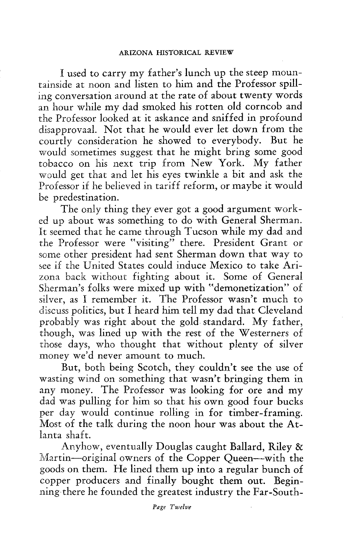I used to carry my father's lunch up the steep mountainside at noon and listen to him and the Professor spilling conversation around at the rate of about twenty words an hour while my dad smoked his rotten old corncob and the Professor looked at it askance and sniffed in profound disapprovaal. Not that he would ever let down from the courtly consideration he showed to everybody. But he would sometimes suggest that he might bring some good tobacco on his next trip from New York. My father would get that and let his eyes twinkle a bit and ask the Professor if he believed in tariff reform, or maybe it would be predestination.

The only thing they ever got a good argument worked up about was something to do with General Sherman. It seemed that he came through Tucson while my dad and the Professor were "visiting" there. President Grant or some other president had sent Sherman down that way to see if the United States could induce Mexico to take Arizona back without fighting about it. Some of General Sherman's folks were mixed up with "demonetization" of silver, as I remember it. The Professor wasn't much to discuss politics, but I heard him tell my dad that Cleveland probably was right about the gold standard. My father, though, was lined up with the rest of the Westerners of those days, who thought that without plenty of silver money we'd never amount to much.

But, both being Scotch, they couldn't see the use of wasting wind on something that wasn't bringing them in any money. The Professor was looking for ore and my dad was pulling for him so that his own good four bucks per day would continue rolling in for timber-framing. Most of the talk during the noon hour was about the Atlanta shaft.

Anyhow, eventually Douglas caught Ballard, Riley & Martin—original owners of the Copper Queen—with the goods on them. He lined them up into a regular bunch of copper producers and finally bought them out. Beginninz.there he founded the greatest industry the Far-South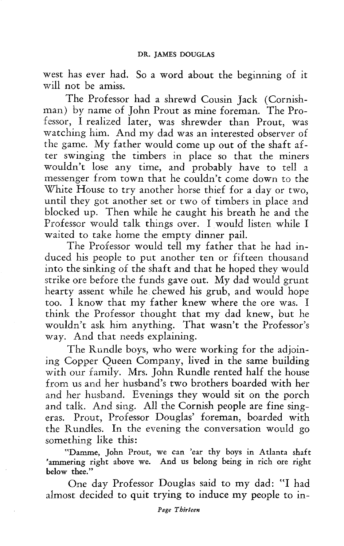west has ever had. So a word about the beginning of it will not be amiss.

The Professor had a shrewd Cousin Jack (Cornishman) by name of John Prout as mine foreman. The Professor, I realized later, was shrewder than Prout, was watching him. And my dad was an interested observer of the game. My father would come up out of the shaft after swinging the timbers in place so that the miners wouldn't lose any time, and probably have to tell a messenger from town that he couldn't come down to the White House to try another horse thief for a day or two, until they got another set or two of timbers in place and blocked up. Then while he caught his breath he and the Professor would talk things over. I would listen while I waited to take home the empty dinner pail.

The Professor would tell my father that he had induced his people to put another ten or fifteen thousand into the sinking of the shaft and that he hoped they would strike ore before the funds gave out. My dad would grunt hearty assent while he chewed his grub, and would hope too. I know that my father knew where the ore was. I think the Professor thought that my dad knew, but he wouldn't ask him anything. That wasn't the Professor's way. And that needs explaining.

The Rundle boys, who were working for the adjoining Copper Queen Company, lived in the same building with our family. Mrs. John Rundle rented half the house from us and her husband's two brothers boarded with her and her husband. Evenings they would sit on the porch and talk. And sing. All the Cornish people are fine singeras. Prout, Professor Douglas' foreman, boarded with the Rundles. In the evening the conversation would go something like this:

"Damme, John Prout, we can 'ear thy boys in Atlanta shaft 'ammering right above we. And us belong being in rich ore right below thee."

One day Professor Douglas said to my dad: "I had almost decided to quit trying to induce my people to in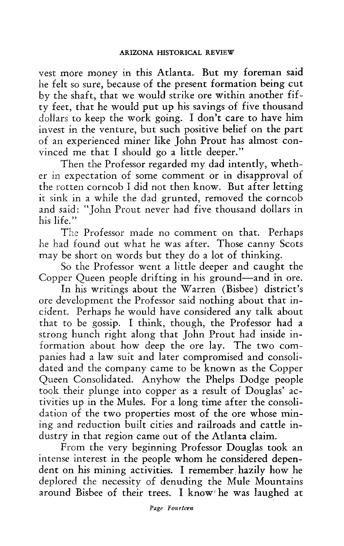vest more money in this Atlanta. But my foreman said he felt so sure, because of the present formation being cut by the shaft, that we would strike ore within another fifty feet, that he would put up his savings of five thousand dollars to keep the work going. I don't care to have him invest in the venture, but such positive belief on the part of an experienced miner like John Prout has almost convinced me that I should go a little deeper."

Then the Professor regarded my dad intently, whether in expectation of some comment or in disapproval of the rotten corncob I did not then know. But after letting it sink in a while the dad grunted, removed the corncob and said: "John Prout never had five thousand dollars in his life."

The Professor made no comment on that. Perhaps he had found out what he was after. Those canny Scots may be short on words but they do a lot of thinking.

So the Professor went a little deeper and caught the Copper Queen people drifting in his ground—and in ore.

In his writings about the Warren (Bisbee) district's ore development the Professor said nothing about that incident. Perhaps he would have considered any talk about that to be gossip. I think, though, the Professor had a strong hunch right along that John Prout had inside information about how deep the ore lay. The two companies had a law suit and later compromised and consolidated and the company came to be known as the Copper Queen Consolidated. Anyhow the Phelps Dodge people took their plunge into copper as a result of Douglas' activities up in the Mules. For a long time after the consolidation of the two properties most of the ore whose mining and reduction built cities and railroads and cattle industry in that region came out of the Atlanta claim.

From the very beginning Professor Douglas took an intense interest in the people whom he considered dependent on his mining activities. I remember hazily how he deplored the necessity of denuding the Mule Mountains around Bisbee of their trees. I know he was laughed at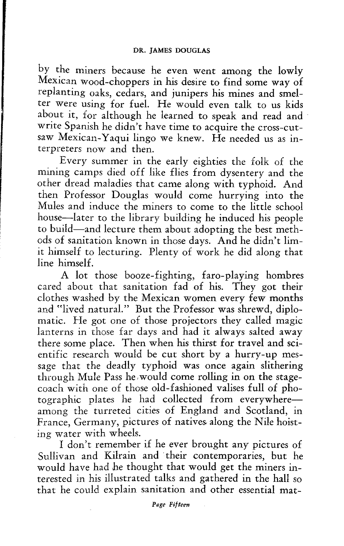by the miners because he even went among the lowly Mexican wood-choppers in his desire to find some way of replanting oaks, cedars, and junipers his mines and smelter were using for fuel. He would even talk to us kids about it, for although he learned to speak and read and write Spanish he didn't have time to acquire the cross-cutsaw Mexican-Yaqui lingo we knew. He needed us as interpreters now and then.

Every summer in the early eighties the folk of the mining camps died off like flies from dysentery and the other dread maladies that came along with typhoid. And then Professor Douglas would come hurrying into the Mules and induce the miners to come to the little school house—later to the library building he induced his people to build—and lecture them about adopting the best methods of sanitation known in those days. And he didn't limit himself to lecturing. Plenty of work he did along that line himself.

A lot those booze-fighting, faro-playing hombres cared about that sanitation fad of his. They got their clothes washed by the Mexican women every few months and "lived natural." But the Professor was shrewd, diplomatic. He got one of those projectors they called magic lanterns in those far days and had it always salted away there some place. Then when his thirst for travel and scientific research would be cut short by a hurry-up message that the deadly typhoid was once again slithering through Mule Pass he would come rolling in on the stagecoach with one of those old-fashioned valises full of photographic plates he had collected from everywhere among the turreted cities of England and Scotland, in France, Germany, pictures of natives along the Nile hoisting water with wheels.

I don't remember if he ever brought any pictures of Sullivan and Kilrain and 'their contemporaries, but he would have had he thought that would get the miners interested in his illustrated talks and gathered in the hall so that he could explain sanitation and other essential mat-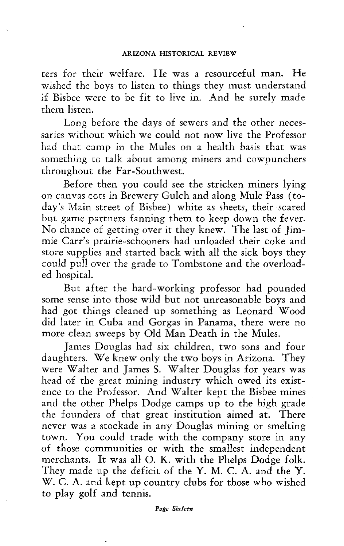ters for their welfare. He was a resourceful man. He wished the boys to listen to things they must understand if Bisbee were to be fit to live in. And he surely made them listen.

Long before the days of sewers and the other necessaries without which we could not now live the Professor had that camp in the Mules on a health basis that was something to talk about among miners and cowpunchers throughout the Far-Southwest.

Before then you could see the stricken miners lying on canvas cots in Brewery Gulch and along Mule Pass (today's Main street of Bisbee) white as sheets, their scared but game partners fanning them to keep down the fever. No chance of getting over it they knew. The last of Jimmie Carr's prairie-schooners had unloaded their coke and store supplies and started back with all the sick boys they could pull over the grade to Tombstone and the overloaded hospital.

But after the hard-working professor had pounded some sense into those wild but not unreasonable boys and had got things cleaned up something as Leonard Wood did later in Cuba and Gorgas in Panama, there were no more clean sweeps by Old Man Death in the Mules.

James Douglas had six children, two sons and four daughters. We knew only the two boys in Arizona. They were Walter and James S. Walter Douglas for years was head of the great mining industry which owed its existence to the Professor. And Walter kept the Bisbee mines and the other Phelps Dodge camps up to the high grade the founders of that great institution aimed at. There never was a stockade in any Douglas mining or smelting town. You could trade with the company store in any of those communities or with the smallest independent merchants. It was all O. K. with the Phelps Dodge folk. They made up the deficit of the Y. M. C. A. and the Y. W. C. A. and kept up country clubs for those who wished to play golf and tennis.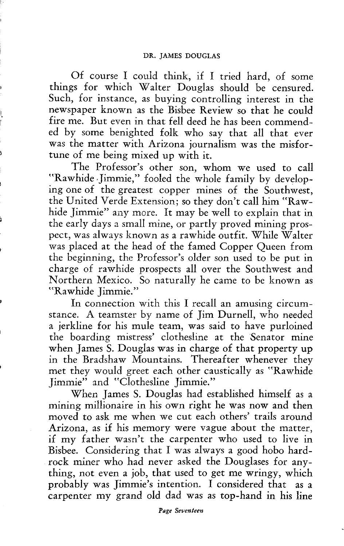Of course I could think, if I tried hard, of some things for which Walter Douglas should be censured. Such, for instance, as buying controlling interest in the newspaper known as the Bisbee Review so that he could fire me. But even in that fell deed he has been commended by some benighted folk who say that all that ever was the matter with Arizona journalism was the misfortune of me being mixed up with it.

The Professor's other son, whom we used to call "Rawhide Jimmie," fooled the whole family by developing one of the greatest copper mines of the Southwest, the United Verde Extension; so they don't call him "Rawhide Jimmie" any more. It may be well to explain that in the early days a small mine, or partly proved mining prospect, was always known as a rawhide outfit. While Walter was placed at the head of the famed Copper Queen from the beginning, the Professor's older son used to be put in charge of rawhide prospects all over the Southwest and Northern Mexico. So naturally he came to be known as "Rawhide Jimmie."

In connection with this I recall an amusing circumstance. A teamster by name of Jim Durnell, who needed a jerkline for his mule team, was said to have purloined the boarding mistress' clothesline at the Senator mine when James S. Douglas was in charge of that property up in the Bradshaw Mountains. Thereafter whenever they met they would greet each other caustically as "Rawhide Jimmie" and "Clothesline Jimmie."

When James S. Douglas had established himself as a mining millionaire in his own right he was now and then moved to ask me when we cut each others' trails around Arizona, as if his memory were vague about the matter, if my father wasn't the carpenter who used to live in Bisbee. Considering that I was always a good hobo hardrock miner who had never asked the Douglases for anything, not even a job, that used to get me wringy, which probably was Jimmie's intention. I considered that as a carpenter my grand old dad was as top-hand in his line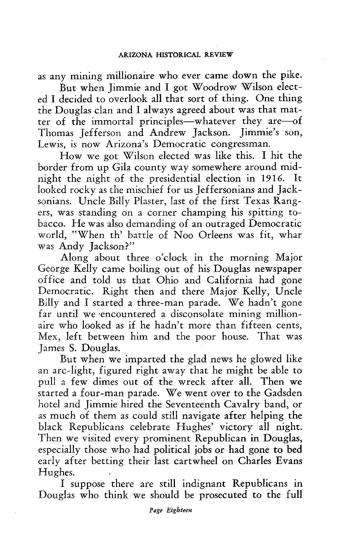as any mining millionaire who ever came down the pike.

But when Jimmie and I got Woodrow Wilson elected I decided to overlook all that sort of thing. One thing the Douglas clan and I always agreed about was that matter of the immortal principles—whatever they are—of Thomas Jefferson and Andrew Jackson. Jimmie's son, Lewis, is now Arizona's Democratic congressman.

How we got Wilson elected was like this. I hit the border from up Gila county way somewhere around midnight the night of the presidential election in 1916. It looked rocky as the mischief for us Jeffersonians and Jacksonians. Uncle Billy Plaster, last of the first Texas Rangers, was standing on a corner champing his spitting tobacco. He was also demanding of an outraged Democratic world, "When th' battle of Noo Orleens was fit, whar was Andy Jackson?"

Along about three o'clock in the morning Major George Kelly came boiling out of his Douglas newspaper office and told us that Ohio and California had gone Democratic. Right then and there Major Kelly, Uncle Billy and I started a three-man parade. We hadn't gone far until we encountered a disconsolate mining millionaire who looked as if he hadn't more than fifteen cents, Mex, left between him and the poor house. That was James S. Douglas.

But when we imparted the glad news he glowed like an arc-light, figured right away that he might be able to pull a few dimes out of the wreck after all. Then we started a four-man parade. We went over to the Gadsden hotel and Jimmie hired the Seventeenth Cavalry band, or as much of them as could still navigate after helping the black Republicans celebrate Hughes' victory all night. Then we visited every prominent Republican in Douglas, especially those who had political jobs or had gone to bed early after betting their last cartwheel on Charles Evans Hughes.

I suppose there are still indignant Republicans in Douglas who think we should be prosecuted to the full